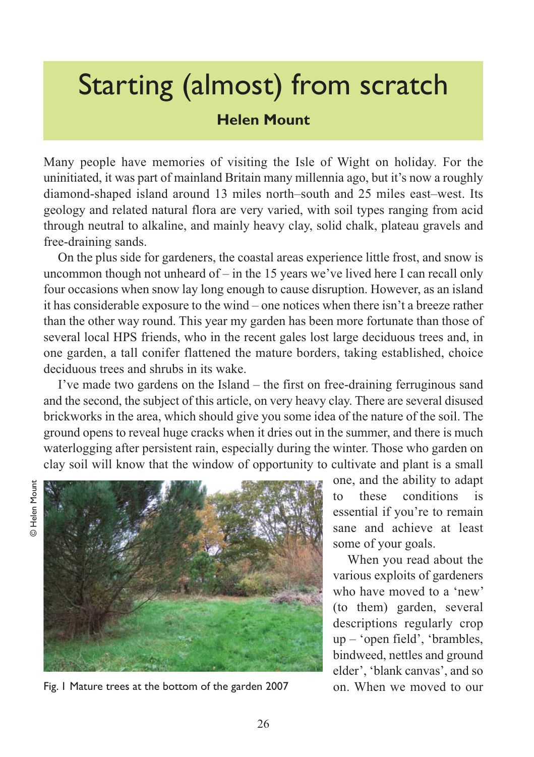## Starting (almost) from scratch

## **Helen Mount**

Many people have memories of visiting the Isle of Wight on holiday. For the uninitiated, it was part of mainland Britain many millennia ago, but it's now a roughly diamond-shaped island around 13 miles north–south and 25 miles east–west. Its geology and related natural flora are very varied, with soil types ranging from acid through neutral to alkaline, and mainly heavy clay, solid chalk, plateau gravels and free-draining sands.

On the plus side for gardeners, the coastal areas experience little frost, and snow is uncommon though not unheard of  $-$  in the 15 years we've lived here I can recall only four occasions when snow lay long enough to cause disruption. However, as an island it has considerable exposure to the wind – one notices when there isn't a breeze rather than the other way round. This year my garden has been more fortunate than those of several local HPS friends, who in the recent gales lost large deciduous trees and, in one garden, a tall conifer flattened the mature borders, taking established, choice deciduous trees and shrubs in its wake.

I've made two gardens on the Island – the first on free-draining ferruginous sand and the second, the subject of this article, on very heavy clay. There are several disused brickworks in the area, which should give you some idea of the nature of the soil. The ground opens to reveal huge cracks when it dries out in the summer, and there is much waterlogging after persistent rain, especially during the winter. Those who garden on clay soil will know that the window of opportunity to cultivate and plant is a small



Fig. 1 Mature trees at the bottom of the garden 2007 on. When we moved to our

one, and the ability to adapt to these conditions is essential if you're to remain sane and achieve at least some of your goals.

When you read about the various exploits of gardeners who have moved to a 'new' (to them) garden, several descriptions regularly crop up – 'open field', 'brambles, bindweed, nettles and ground elder', 'blank canvas', and so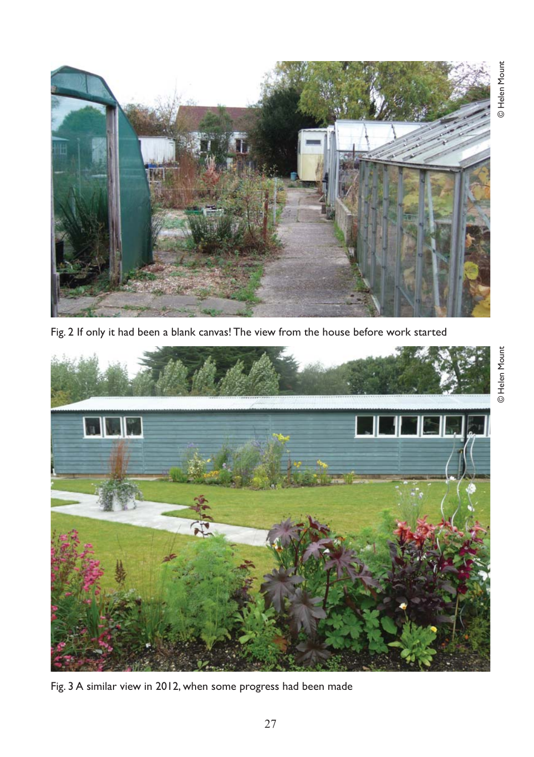

Fig. 2 If only it had been a blank canvas! The view from the house before work started



Fig. 3 A similar view in 2012, when some progress had been made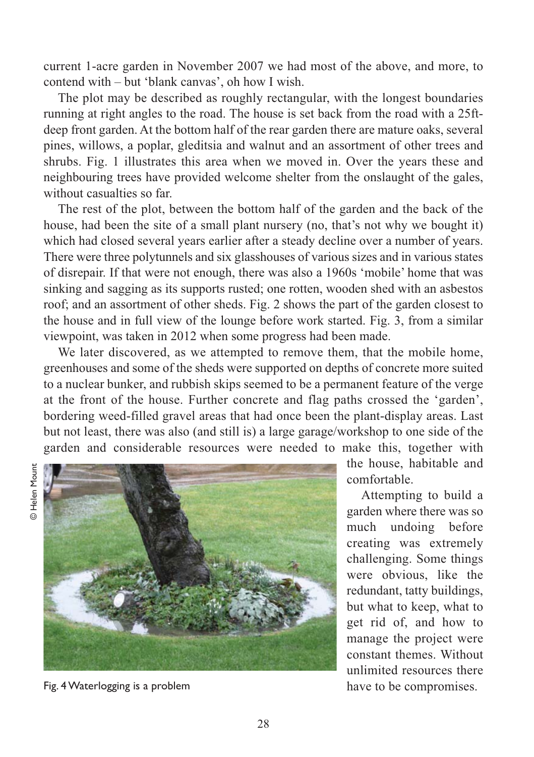current 1-acre garden in November 2007 we had most of the above, and more, to contend with – but 'blank canvas', oh how I wish.

The plot may be described as roughly rectangular, with the longest boundaries running at right angles to the road. The house is set back from the road with a 25ftdeep front garden. At the bottom half of the rear garden there are mature oaks, several pines, willows, a poplar, gleditsia and walnut and an assortment of other trees and shrubs. Fig. 1 illustrates this area when we moved in. Over the years these and neighbouring trees have provided welcome shelter from the onslaught of the gales, without casualties so far.

The rest of the plot, between the bottom half of the garden and the back of the house, had been the site of a small plant nursery (no, that's not why we bought it) which had closed several years earlier after a steady decline over a number of years. There were three polytunnels and six glasshouses of various sizes and in various states of disrepair. If that were not enough, there was also a 1960s 'mobile' home that was sinking and sagging as its supports rusted; one rotten, wooden shed with an asbestos roof; and an assortment of other sheds. Fig. 2 shows the part of the garden closest to the house and in full view of the lounge before work started. Fig. 3, from a similar viewpoint, was taken in 2012 when some progress had been made.

We later discovered, as we attempted to remove them, that the mobile home, greenhouses and some of the sheds were supported on depths of concrete more suited to a nuclear bunker, and rubbish skips seemed to be a permanent feature of the verge at the front of the house. Further concrete and flag paths crossed the 'garden', bordering weed-filled gravel areas that had once been the plant-display areas. Last but not least, there was also (and still is) a large garage/workshop to one side of the garden and considerable resources were needed to make this, together with



Fig. 4 Waterlogging is a problem have to be compromises.

the house, habitable and comfortable.

Attempting to build a garden where there was so much undoing before creating was extremely challenging. Some things were obvious, like the redundant, tatty buildings, but what to keep, what to get rid of, and how to manage the project were constant themes. Without unlimited resources there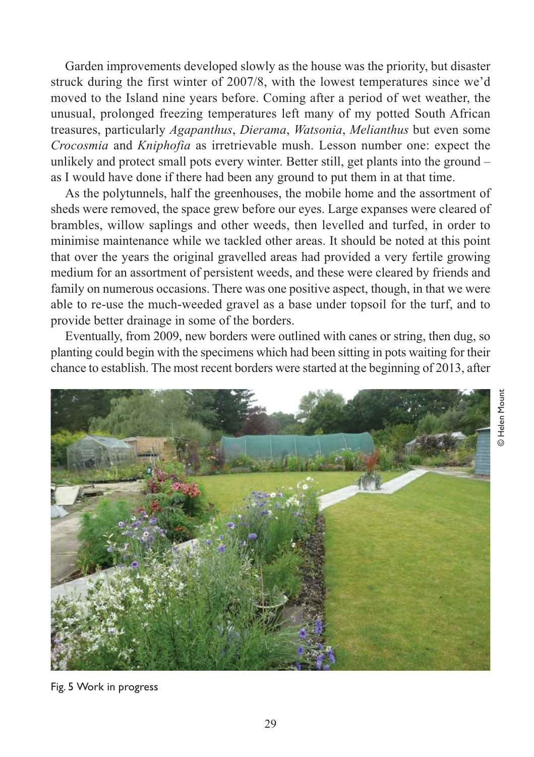Garden improvements developed slowly as the house was the priority, but disaster struck during the first winter of 2007/8, with the lowest temperatures since we'd moved to the Island nine years before. Coming after a period of wet weather, the unusual, prolonged freezing temperatures left many of my potted South African treasures, particularly *Agapanthus*, *Dierama*, *Watsonia*, *Melianthus* but even some *Crocosmia* and *Kniphofia* as irretrievable mush. Lesson number one: expect the unlikely and protect small pots every winter. Better still, get plants into the ground – as I would have done if there had been any ground to put them in at that time.

As the polytunnels, half the greenhouses, the mobile home and the assortment of sheds were removed, the space grew before our eyes. Large expanses were cleared of brambles, willow saplings and other weeds, then levelled and turfed, in order to minimise maintenance while we tackled other areas. It should be noted at this point that over the years the original gravelled areas had provided a very fertile growing medium for an assortment of persistent weeds, and these were cleared by friends and family on numerous occasions. There was one positive aspect, though, in that we were able to re-use the much-weeded gravel as a base under topsoil for the turf, and to provide better drainage in some of the borders.

Eventually, from 2009, new borders were outlined with canes or string, then dug, so planting could begin with the specimens which had been sitting in pots waiting for their chance to establish. The most recent borders were started at the beginning of 2013, after



Fig. 5 Work in progress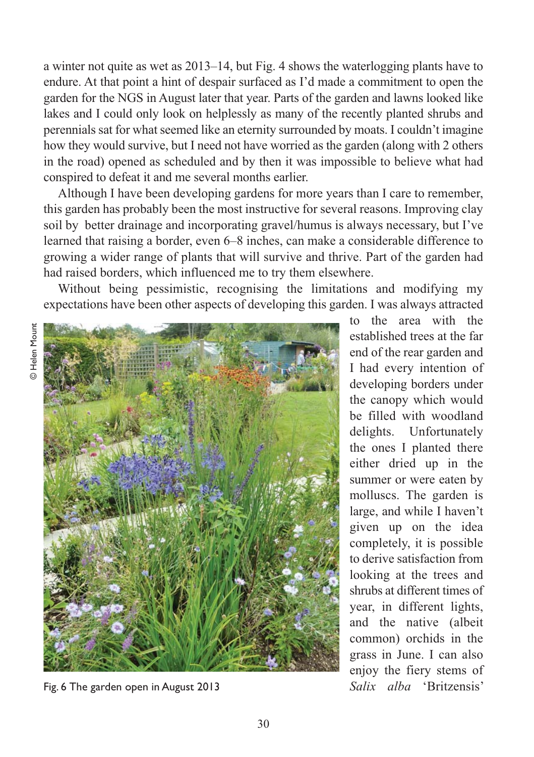a winter not quite as wet as 2013–14, but Fig. 4 shows the waterlogging plants have to endure. At that point a hint of despair surfaced as I'd made a commitment to open the garden for the NGS in August later that year. Parts of the garden and lawns looked like lakes and I could only look on helplessly as many of the recently planted shrubs and perennials sat for what seemed like an eternity surrounded by moats. I couldn't imagine how they would survive, but I need not have worried as the garden (along with 2 others in the road) opened as scheduled and by then it was impossible to believe what had conspired to defeat it and me several months earlier.

Although I have been developing gardens for more years than I care to remember, this garden has probably been the most instructive for several reasons. Improving clay soil by better drainage and incorporating gravel/humus is always necessary, but I've learned that raising a border, even 6–8 inches, can make a considerable difference to growing a wider range of plants that will survive and thrive. Part of the garden had had raised borders, which influenced me to try them elsewhere.

Without being pessimistic, recognising the limitations and modifying my expectations have been other aspects of developing this garden. I was always attracted



Fig. 6 The garden open in August 2013

to the area with the established trees at the far end of the rear garden and I had every intention of developing borders under the canopy which would be filled with woodland delights. Unfortunately the ones I planted there either dried up in the summer or were eaten by molluscs. The garden is large, and while I haven't given up on the idea completely, it is possible to derive satisfaction from looking at the trees and shrubs at different times of year, in different lights, and the native (albeit common) orchids in the grass in June. I can also enjoy the fiery stems of *Salix alba* 'Britzensis'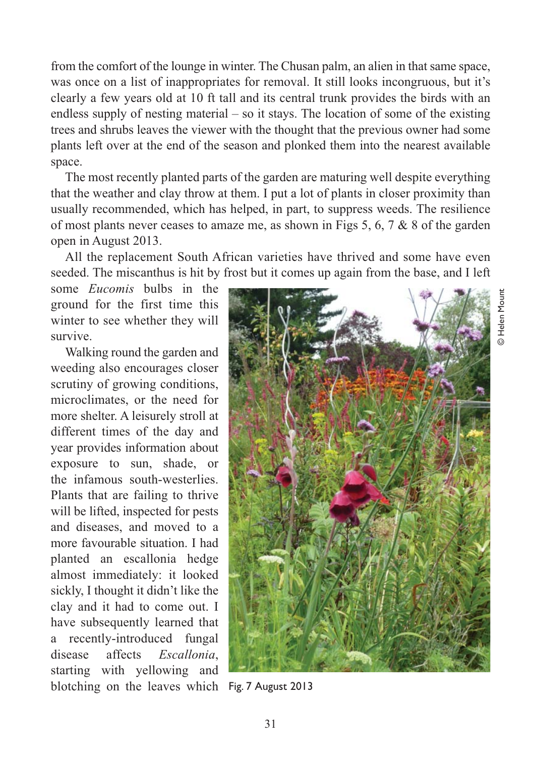from the comfort of the lounge in winter. The Chusan palm, an alien in that same space, was once on a list of inappropriates for removal. It still looks incongruous, but it's clearly a few years old at 10 ft tall and its central trunk provides the birds with an endless supply of nesting material – so it stays. The location of some of the existing trees and shrubs leaves the viewer with the thought that the previous owner had some plants left over at the end of the season and plonked them into the nearest available space.

The most recently planted parts of the garden are maturing well despite everything that the weather and clay throw at them. I put a lot of plants in closer proximity than usually recommended, which has helped, in part, to suppress weeds. The resilience of most plants never ceases to amaze me, as shown in Figs 5, 6, 7  $\&$  8 of the garden open in August 2013.

All the replacement South African varieties have thrived and some have even seeded. The miscanthus is hit by frost but it comes up again from the base, and I left

some *Eucomis* bulbs in the ground for the first time this winter to see whether they will survive.

Walking round the garden and weeding also encourages closer scrutiny of growing conditions, microclimates, or the need for more shelter. A leisurely stroll at different times of the day and year provides information about exposure to sun, shade, or the infamous south-westerlies. Plants that are failing to thrive will be lifted, inspected for pests and diseases, and moved to a more favourable situation. I had planted an escallonia hedge almost immediately: it looked sickly, I thought it didn't like the clay and it had to come out. I have subsequently learned that a recently-introduced fungal disease affects *Escallonia*, starting with yellowing and blotching on the leaves which Fig. 7 August 2013